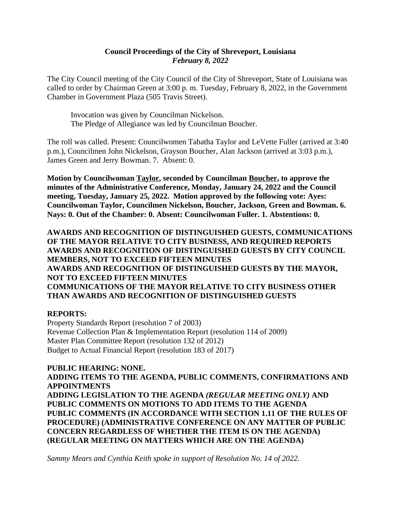### **Council Proceedings of the City of Shreveport, Louisiana** *February 8, 2022*

The City Council meeting of the City Council of the City of Shreveport, State of Louisiana was called to order by Chairman Green at 3:00 p. m. Tuesday, February 8, 2022, in the Government Chamber in Government Plaza (505 Travis Street).

Invocation was given by Councilman Nickelson. The Pledge of Allegiance was led by Councilman Boucher.

The roll was called. Present: Councilwomen Tabatha Taylor and LeVette Fuller (arrived at 3:40 p.m.), Councilmen John Nickelson, Grayson Boucher, Alan Jackson (arrived at 3:03 p.m.), James Green and Jerry Bowman. 7. Absent: 0.

**Motion by Councilwoman Taylor, seconded by Councilman Boucher, to approve the minutes of the Administrative Conference, Monday, January 24, 2022 and the Council meeting, Tuesday, January 25, 2022. Motion approved by the following vote: Ayes: Councilwoman Taylor, Councilmen Nickelson, Boucher, Jackson, Green and Bowman. 6. Nays: 0. Out of the Chamber: 0. Absent: Councilwoman Fuller. 1. Abstentions: 0.**

**AWARDS AND RECOGNITION OF DISTINGUISHED GUESTS, COMMUNICATIONS OF THE MAYOR RELATIVE TO CITY BUSINESS, AND REQUIRED REPORTS AWARDS AND RECOGNITION OF DISTINGUISHED GUESTS BY CITY COUNCIL MEMBERS, NOT TO EXCEED FIFTEEN MINUTES AWARDS AND RECOGNITION OF DISTINGUISHED GUESTS BY THE MAYOR, NOT TO EXCEED FIFTEEN MINUTES COMMUNICATIONS OF THE MAYOR RELATIVE TO CITY BUSINESS OTHER THAN AWARDS AND RECOGNITION OF DISTINGUISHED GUESTS**

#### **REPORTS:**

Property Standards Report (resolution 7 of 2003) Revenue Collection Plan & Implementation Report (resolution 114 of 2009) Master Plan Committee Report (resolution 132 of 2012) Budget to Actual Financial Report (resolution 183 of 2017)

**PUBLIC HEARING: NONE. ADDING ITEMS TO THE AGENDA, PUBLIC COMMENTS, CONFIRMATIONS AND APPOINTMENTS ADDING LEGISLATION TO THE AGENDA** *(REGULAR MEETING ONLY)* **AND PUBLIC COMMENTS ON MOTIONS TO ADD ITEMS TO THE AGENDA PUBLIC COMMENTS (IN ACCORDANCE WITH SECTION 1.11 OF THE RULES OF PROCEDURE) (ADMINISTRATIVE CONFERENCE ON ANY MATTER OF PUBLIC CONCERN REGARDLESS OF WHETHER THE ITEM IS ON THE AGENDA) (REGULAR MEETING ON MATTERS WHICH ARE ON THE AGENDA)**

*Sammy Mears and Cynthia Keith spoke in support of Resolution No. 14 of 2022.*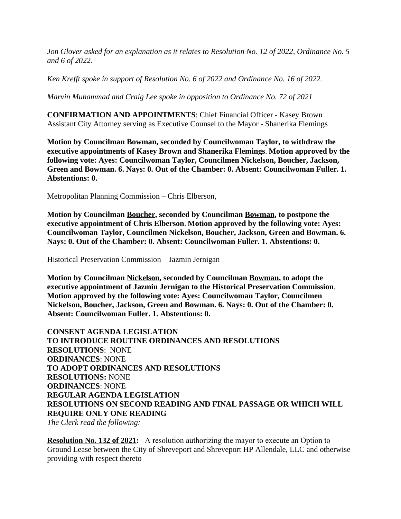*Jon Glover asked for an explanation as it relates to Resolution No. 12 of 2022, Ordinance No. 5 and 6 of 2022.*

*Ken Krefft spoke in support of Resolution No. 6 of 2022 and Ordinance No. 16 of 2022.*

*Marvin Muhammad and Craig Lee spoke in opposition to Ordinance No. 72 of 2021*

**CONFIRMATION AND APPOINTMENTS**: Chief Financial Officer - Kasey Brown Assistant City Attorney serving as Executive Counsel to the Mayor - Shanerika Flemings

**Motion by Councilman Bowman, seconded by Councilwoman Taylor, to withdraw the executive appointments of Kasey Brown and Shanerika Flemings**. **Motion approved by the following vote: Ayes: Councilwoman Taylor, Councilmen Nickelson, Boucher, Jackson, Green and Bowman. 6. Nays: 0. Out of the Chamber: 0. Absent: Councilwoman Fuller. 1. Abstentions: 0.**

Metropolitan Planning Commission – Chris Elberson,

**Motion by Councilman Boucher, seconded by Councilman Bowman, to postpone the executive appointment of Chris Elberson**. **Motion approved by the following vote: Ayes: Councilwoman Taylor, Councilmen Nickelson, Boucher, Jackson, Green and Bowman. 6. Nays: 0. Out of the Chamber: 0. Absent: Councilwoman Fuller. 1. Abstentions: 0.**

Historical Preservation Commission – Jazmin Jernigan

**Motion by Councilman Nickelson, seconded by Councilman Bowman, to adopt the executive appointment of Jazmin Jernigan to the Historical Preservation Commission**. **Motion approved by the following vote: Ayes: Councilwoman Taylor, Councilmen Nickelson, Boucher, Jackson, Green and Bowman. 6. Nays: 0. Out of the Chamber: 0. Absent: Councilwoman Fuller. 1. Abstentions: 0.**

**CONSENT AGENDA LEGISLATION TO INTRODUCE ROUTINE ORDINANCES AND RESOLUTIONS RESOLUTIONS**: NONE **ORDINANCES**: NONE **TO ADOPT ORDINANCES AND RESOLUTIONS RESOLUTIONS:** NONE **ORDINANCES**: NONE **REGULAR AGENDA LEGISLATION RESOLUTIONS ON SECOND READING AND FINAL PASSAGE OR WHICH WILL REQUIRE ONLY ONE READING**

*The Clerk read the following:* 

**Resolution No. 132 of 2021:** A resolution authorizing the mayor to execute an Option to Ground Lease between the City of Shreveport and Shreveport HP Allendale, LLC and otherwise providing with respect thereto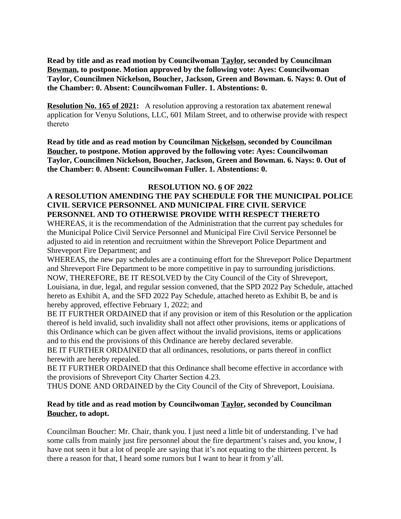**Read by title and as read motion by Councilwoman Taylor, seconded by Councilman Bowman, to postpone. Motion approved by the following vote: Ayes: Councilwoman Taylor, Councilmen Nickelson, Boucher, Jackson, Green and Bowman. 6. Nays: 0. Out of the Chamber: 0. Absent: Councilwoman Fuller. 1. Abstentions: 0.**

**Resolution No. 165 of 2021:** A resolution approving a restoration tax abatement renewal application for Venyu Solutions, LLC, 601 Milam Street, and to otherwise provide with respect thereto

**Read by title and as read motion by Councilman Nickelson, seconded by Councilman Boucher, to postpone. Motion approved by the following vote: Ayes: Councilwoman Taylor, Councilmen Nickelson, Boucher, Jackson, Green and Bowman. 6. Nays: 0. Out of the Chamber: 0. Absent: Councilwoman Fuller. 1. Abstentions: 0.**

#### **RESOLUTION NO. 6 OF 2022**

# **A RESOLUTION AMENDING THE PAY SCHEDULE FOR THE MUNICIPAL POLICE CIVIL SERVICE PERSONNEL AND MUNICIPAL FIRE CIVIL SERVICE PERSONNEL AND TO OTHERWISE PROVIDE WITH RESPECT THERETO**

WHEREAS, it is the recommendation of the Administration that the current pay schedules for the Municipal Police Civil Service Personnel and Municipal Fire Civil Service Personnel be adjusted to aid in retention and recruitment within the Shreveport Police Department and Shreveport Fire Department; and

WHEREAS, the new pay schedules are a continuing effort for the Shreveport Police Department and Shreveport Fire Department to be more competitive in pay to surrounding jurisdictions. NOW, THEREFORE, BE IT RESOLVED by the City Council of the City of Shreveport, Louisiana, in due, legal, and regular session convened, that the SPD 2022 Pay Schedule, attached hereto as Exhibit A, and the SFD 2022 Pay Schedule, attached hereto as Exhibit B, be and is hereby approved, effective February 1, 2022; and

BE IT FURTHER ORDAINED that if any provision or item of this Resolution or the application thereof is held invalid, such invalidity shall not affect other provisions, items or applications of this Ordinance which can be given affect without the invalid provisions, items or applications and to this end the provisions of this Ordinance are hereby declared severable.

BE IT FURTHER ORDAINED that all ordinances, resolutions, or parts thereof in conflict herewith are hereby repealed.

BE IT FURTHER ORDAINED that this Ordinance shall become effective in accordance with the provisions of Shreveport City Charter Section 4.23.

THUS DONE AND ORDAINED by the City Council of the City of Shreveport, Louisiana.

#### **Read by title and as read motion by Councilwoman Taylor, seconded by Councilman Boucher, to adopt.**

Councilman Boucher: Mr. Chair, thank you. I just need a little bit of understanding. I've had some calls from mainly just fire personnel about the fire department's raises and, you know, I have not seen it but a lot of people are saying that it's not equating to the thirteen percent. Is there a reason for that, I heard some rumors but I want to hear it from y'all.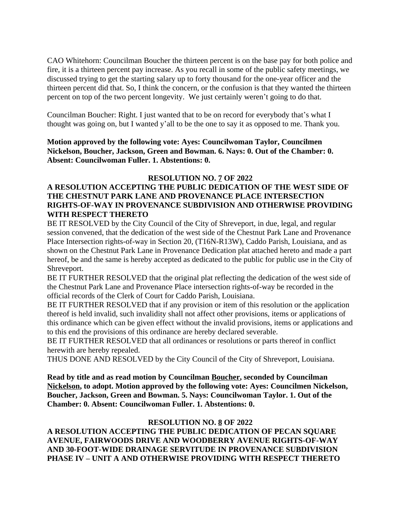CAO Whitehorn: Councilman Boucher the thirteen percent is on the base pay for both police and fire, it is a thirteen percent pay increase. As you recall in some of the public safety meetings, we discussed trying to get the starting salary up to forty thousand for the one-year officer and the thirteen percent did that. So, I think the concern, or the confusion is that they wanted the thirteen percent on top of the two percent longevity. We just certainly weren't going to do that.

Councilman Boucher: Right. I just wanted that to be on record for everybody that's what I thought was going on, but I wanted y'all to be the one to say it as opposed to me. Thank you.

**Motion approved by the following vote: Ayes: Councilwoman Taylor, Councilmen Nickelson, Boucher, Jackson, Green and Bowman. 6. Nays: 0. Out of the Chamber: 0. Absent: Councilwoman Fuller. 1. Abstentions: 0.**

### **RESOLUTION NO. 7 OF 2022**

# **A RESOLUTION ACCEPTING THE PUBLIC DEDICATION OF THE WEST SIDE OF THE CHESTNUT PARK LANE AND PROVENANCE PLACE INTERSECTION RIGHTS-OF-WAY IN PROVENANCE SUBDIVISION AND OTHERWISE PROVIDING WITH RESPECT THERETO**

BE IT RESOLVED by the City Council of the City of Shreveport, in due, legal, and regular session convened, that the dedication of the west side of the Chestnut Park Lane and Provenance Place Intersection rights-of-way in Section 20, (T16N-R13W), Caddo Parish, Louisiana, and as shown on the Chestnut Park Lane in Provenance Dedication plat attached hereto and made a part hereof, be and the same is hereby accepted as dedicated to the public for public use in the City of Shreveport.

BE IT FURTHER RESOLVED that the original plat reflecting the dedication of the west side of the Chestnut Park Lane and Provenance Place intersection rights-of-way be recorded in the official records of the Clerk of Court for Caddo Parish, Louisiana.

BE IT FURTHER RESOLVED that if any provision or item of this resolution or the application thereof is held invalid, such invalidity shall not affect other provisions, items or applications of this ordinance which can be given effect without the invalid provisions, items or applications and to this end the provisions of this ordinance are hereby declared severable.

BE IT FURTHER RESOLVED that all ordinances or resolutions or parts thereof in conflict herewith are hereby repealed.

THUS DONE AND RESOLVED by the City Council of the City of Shreveport, Louisiana.

**Read by title and as read motion by Councilman Boucher, seconded by Councilman Nickelson, to adopt. Motion approved by the following vote: Ayes: Councilmen Nickelson, Boucher, Jackson, Green and Bowman. 5. Nays: Councilwoman Taylor. 1. Out of the Chamber: 0. Absent: Councilwoman Fuller. 1. Abstentions: 0.**

# **RESOLUTION NO. 8 OF 2022**

**A RESOLUTION ACCEPTING THE PUBLIC DEDICATION OF PECAN SQUARE AVENUE, FAIRWOODS DRIVE AND WOODBERRY AVENUE RIGHTS-OF-WAY AND 30-FOOT-WIDE DRAINAGE SERVITUDE IN PROVENANCE SUBDIVISION PHASE IV – UNIT A AND OTHERWISE PROVIDING WITH RESPECT THERETO**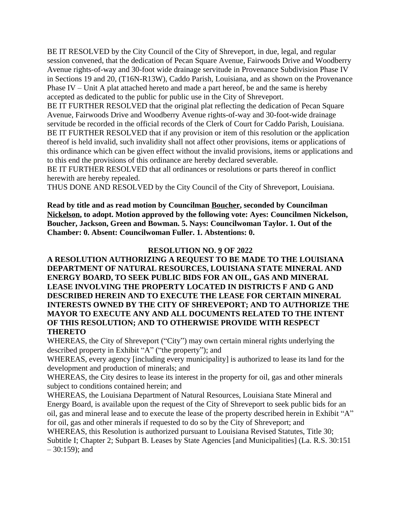BE IT RESOLVED by the City Council of the City of Shreveport, in due, legal, and regular session convened, that the dedication of Pecan Square Avenue, Fairwoods Drive and Woodberry Avenue rights-of-way and 30-foot wide drainage servitude in Provenance Subdivision Phase IV in Sections 19 and 20, (T16N-R13W), Caddo Parish, Louisiana, and as shown on the Provenance Phase IV – Unit A plat attached hereto and made a part hereof, be and the same is hereby accepted as dedicated to the public for public use in the City of Shreveport.

BE IT FURTHER RESOLVED that the original plat reflecting the dedication of Pecan Square Avenue, Fairwoods Drive and Woodberry Avenue rights-of-way and 30-foot-wide drainage servitude be recorded in the official records of the Clerk of Court for Caddo Parish, Louisiana. BE IT FURTHER RESOLVED that if any provision or item of this resolution or the application thereof is held invalid, such invalidity shall not affect other provisions, items or applications of this ordinance which can be given effect without the invalid provisions, items or applications and to this end the provisions of this ordinance are hereby declared severable.

BE IT FURTHER RESOLVED that all ordinances or resolutions or parts thereof in conflict herewith are hereby repealed.

THUS DONE AND RESOLVED by the City Council of the City of Shreveport, Louisiana.

**Read by title and as read motion by Councilman Boucher, seconded by Councilman Nickelson, to adopt. Motion approved by the following vote: Ayes: Councilmen Nickelson, Boucher, Jackson, Green and Bowman. 5. Nays: Councilwoman Taylor. 1. Out of the Chamber: 0. Absent: Councilwoman Fuller. 1. Abstentions: 0.**

### **RESOLUTION NO. 9 OF 2022**

**A RESOLUTION AUTHORIZING A REQUEST TO BE MADE TO THE LOUISIANA DEPARTMENT OF NATURAL RESOURCES, LOUISIANA STATE MINERAL AND ENERGY BOARD, TO SEEK PUBLIC BIDS FOR AN OIL, GAS AND MINERAL LEASE INVOLVING THE PROPERTY LOCATED IN DISTRICTS F AND G AND DESCRIBED HEREIN AND TO EXECUTE THE LEASE FOR CERTAIN MINERAL INTERESTS OWNED BY THE CITY OF SHREVEPORT; AND TO AUTHORIZE THE MAYOR TO EXECUTE ANY AND ALL DOCUMENTS RELATED TO THE INTENT OF THIS RESOLUTION; AND TO OTHERWISE PROVIDE WITH RESPECT THERETO**

WHEREAS, the City of Shreveport ("City") may own certain mineral rights underlying the described property in Exhibit "A" ("the property"); and

WHEREAS, every agency [including every municipality] is authorized to lease its land for the development and production of minerals; and

WHEREAS, the City desires to lease its interest in the property for oil, gas and other minerals subject to conditions contained herein; and

WHEREAS, the Louisiana Department of Natural Resources, Louisiana State Mineral and Energy Board, is available upon the request of the City of Shreveport to seek public bids for an oil, gas and mineral lease and to execute the lease of the property described herein in Exhibit "A" for oil, gas and other minerals if requested to do so by the City of Shreveport; and

WHEREAS, this Resolution is authorized pursuant to Louisiana Revised Statutes, Title 30; Subtitle I; Chapter 2; Subpart B. Leases by State Agencies [and Municipalities] (La. R.S. 30:151  $-30:159$ ; and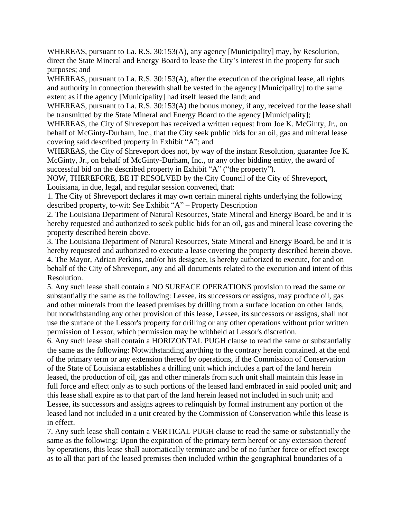WHEREAS, pursuant to La. R.S. 30:153(A), any agency [Municipality] may, by Resolution, direct the State Mineral and Energy Board to lease the City's interest in the property for such purposes; and

WHEREAS, pursuant to La. R.S. 30:153(A), after the execution of the original lease, all rights and authority in connection therewith shall be vested in the agency [Municipality] to the same extent as if the agency [Municipality] had itself leased the land; and

WHEREAS, pursuant to La. R.S.  $30:153(A)$  the bonus money, if any, received for the lease shall be transmitted by the State Mineral and Energy Board to the agency [Municipality];

WHEREAS, the City of Shreveport has received a written request from Joe K. McGinty, Jr., on behalf of McGinty-Durham, Inc., that the City seek public bids for an oil, gas and mineral lease covering said described property in Exhibit "A"; and

WHEREAS, the City of Shreveport does not, by way of the instant Resolution, guarantee Joe K. McGinty, Jr., on behalf of McGinty-Durham, Inc., or any other bidding entity, the award of successful bid on the described property in Exhibit "A" ("the property").

NOW, THEREFORE, BE IT RESOLVED by the City Council of the City of Shreveport, Louisiana, in due, legal, and regular session convened, that:

1. The City of Shreveport declares it may own certain mineral rights underlying the following described property, to-wit: See Exhibit "A" – Property Description

2. The Louisiana Department of Natural Resources, State Mineral and Energy Board, be and it is hereby requested and authorized to seek public bids for an oil, gas and mineral lease covering the property described herein above.

3. The Louisiana Department of Natural Resources, State Mineral and Energy Board, be and it is hereby requested and authorized to execute a lease covering the property described herein above. 4. The Mayor, Adrian Perkins, and/or his designee, is hereby authorized to execute, for and on behalf of the City of Shreveport, any and all documents related to the execution and intent of this Resolution.

5. Any such lease shall contain a NO SURFACE OPERATIONS provision to read the same or substantially the same as the following: Lessee, its successors or assigns, may produce oil, gas and other minerals from the leased premises by drilling from a surface location on other lands, but notwithstanding any other provision of this lease, Lessee, its successors or assigns, shall not use the surface of the Lessor's property for drilling or any other operations without prior written permission of Lessor, which permission may be withheld at Lessor's discretion.

6. Any such lease shall contain a HORIZONTAL PUGH clause to read the same or substantially the same as the following: Notwithstanding anything to the contrary herein contained, at the end of the primary term or any extension thereof by operations, if the Commission of Conservation of the State of Louisiana establishes a drilling unit which includes a part of the land herein leased, the production of oil, gas and other minerals from such unit shall maintain this lease in full force and effect only as to such portions of the leased land embraced in said pooled unit; and this lease shall expire as to that part of the land herein leased not included in such unit; and Lessee, its successors and assigns agrees to relinquish by formal instrument any portion of the leased land not included in a unit created by the Commission of Conservation while this lease is in effect.

7. Any such lease shall contain a VERTICAL PUGH clause to read the same or substantially the same as the following: Upon the expiration of the primary term hereof or any extension thereof by operations, this lease shall automatically terminate and be of no further force or effect except as to all that part of the leased premises then included within the geographical boundaries of a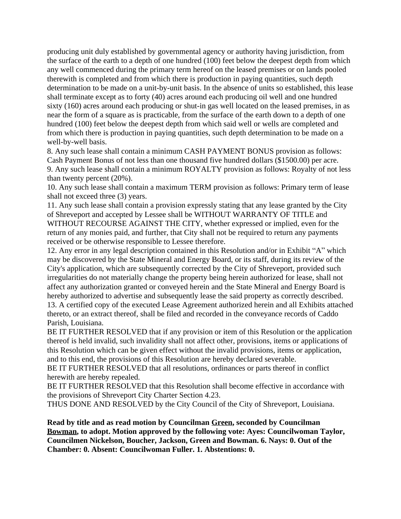producing unit duly established by governmental agency or authority having jurisdiction, from the surface of the earth to a depth of one hundred (100) feet below the deepest depth from which any well commenced during the primary term hereof on the leased premises or on lands pooled therewith is completed and from which there is production in paying quantities, such depth determination to be made on a unit-by-unit basis. In the absence of units so established, this lease shall terminate except as to forty (40) acres around each producing oil well and one hundred sixty (160) acres around each producing or shut-in gas well located on the leased premises, in as near the form of a square as is practicable, from the surface of the earth down to a depth of one hundred (100) feet below the deepest depth from which said well or wells are completed and from which there is production in paying quantities, such depth determination to be made on a well-by-well basis.

8. Any such lease shall contain a minimum CASH PAYMENT BONUS provision as follows: Cash Payment Bonus of not less than one thousand five hundred dollars (\$1500.00) per acre. 9. Any such lease shall contain a minimum ROYALTY provision as follows: Royalty of not less than twenty percent (20%).

10. Any such lease shall contain a maximum TERM provision as follows: Primary term of lease shall not exceed three (3) years.

11. Any such lease shall contain a provision expressly stating that any lease granted by the City of Shreveport and accepted by Lessee shall be WITHOUT WARRANTY OF TITLE and WITHOUT RECOURSE AGAINST THE CITY, whether expressed or implied, even for the return of any monies paid, and further, that City shall not be required to return any payments received or be otherwise responsible to Lessee therefore.

12. Any error in any legal description contained in this Resolution and/or in Exhibit "A" which may be discovered by the State Mineral and Energy Board, or its staff, during its review of the City's application, which are subsequently corrected by the City of Shreveport, provided such irregularities do not materially change the property being herein authorized for lease, shall not affect any authorization granted or conveyed herein and the State Mineral and Energy Board is hereby authorized to advertise and subsequently lease the said property as correctly described. 13. A certified copy of the executed Lease Agreement authorized herein and all Exhibits attached thereto, or an extract thereof, shall be filed and recorded in the conveyance records of Caddo

Parish, Louisiana.

BE IT FURTHER RESOLVED that if any provision or item of this Resolution or the application thereof is held invalid, such invalidity shall not affect other, provisions, items or applications of this Resolution which can be given effect without the invalid provisions, items or application, and to this end, the provisions of this Resolution are hereby declared severable.

BE IT FURTHER RESOLVED that all resolutions, ordinances or parts thereof in conflict herewith are hereby repealed.

BE IT FURTHER RESOLVED that this Resolution shall become effective in accordance with the provisions of Shreveport City Charter Section 4.23.

THUS DONE AND RESOLVED by the City Council of the City of Shreveport, Louisiana.

**Read by title and as read motion by Councilman Green, seconded by Councilman Bowman, to adopt. Motion approved by the following vote: Ayes: Councilwoman Taylor, Councilmen Nickelson, Boucher, Jackson, Green and Bowman. 6. Nays: 0. Out of the Chamber: 0. Absent: Councilwoman Fuller. 1. Abstentions: 0.**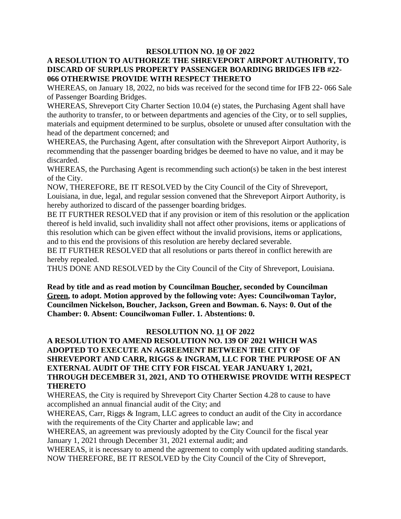#### **RESOLUTION NO. 10 OF 2022 A RESOLUTION TO AUTHORIZE THE SHREVEPORT AIRPORT AUTHORITY, TO DISCARD OF SURPLUS PROPERTY PASSENGER BOARDING BRIDGES IFB #22- 066 OTHERWISE PROVIDE WITH RESPECT THERETO**

WHEREAS, on January 18, 2022, no bids was received for the second time for IFB 22- 066 Sale of Passenger Boarding Bridges.

WHEREAS, Shreveport City Charter Section 10.04 (e) states, the Purchasing Agent shall have the authority to transfer, to or between departments and agencies of the City, or to sell supplies, materials and equipment determined to be surplus, obsolete or unused after consultation with the head of the department concerned; and

WHEREAS, the Purchasing Agent, after consultation with the Shreveport Airport Authority, is recommending that the passenger boarding bridges be deemed to have no value, and it may be discarded.

WHEREAS, the Purchasing Agent is recommending such action(s) be taken in the best interest of the City.

NOW, THEREFORE, BE IT RESOLVED by the City Council of the City of Shreveport, Louisiana, in due, legal, and regular session convened that the Shreveport Airport Authority, is hereby authorized to discard of the passenger boarding bridges.

BE IT FURTHER RESOLVED that if any provision or item of this resolution or the application thereof is held invalid, such invalidity shall not affect other provisions, items or applications of this resolution which can be given effect without the invalid provisions, items or applications, and to this end the provisions of this resolution are hereby declared severable.

BE IT FURTHER RESOLVED that all resolutions or parts thereof in conflict herewith are hereby repealed.

THUS DONE AND RESOLVED by the City Council of the City of Shreveport, Louisiana.

**Read by title and as read motion by Councilman Boucher, seconded by Councilman Green, to adopt. Motion approved by the following vote: Ayes: Councilwoman Taylor, Councilmen Nickelson, Boucher, Jackson, Green and Bowman. 6. Nays: 0. Out of the Chamber: 0. Absent: Councilwoman Fuller. 1. Abstentions: 0.**

#### **RESOLUTION NO. 11 OF 2022**

# **A RESOLUTION TO AMEND RESOLUTION NO. 139 OF 2021 WHICH WAS ADOPTED TO EXECUTE AN AGREEMENT BETWEEN THE CITY OF SHREVEPORT AND CARR, RIGGS & INGRAM, LLC FOR THE PURPOSE OF AN EXTERNAL AUDIT OF THE CITY FOR FISCAL YEAR JANUARY 1, 2021, THROUGH DECEMBER 31, 2021, AND TO OTHERWISE PROVIDE WITH RESPECT THERETO**

WHEREAS, the City is required by Shreveport City Charter Section 4.28 to cause to have accomplished an annual financial audit of the City; and

WHEREAS, Carr, Riggs & Ingram, LLC agrees to conduct an audit of the City in accordance with the requirements of the City Charter and applicable law; and

WHEREAS, an agreement was previously adopted by the City Council for the fiscal year January 1, 2021 through December 31, 2021 external audit; and

WHEREAS, it is necessary to amend the agreement to comply with updated auditing standards. NOW THEREFORE, BE IT RESOLVED by the City Council of the City of Shreveport,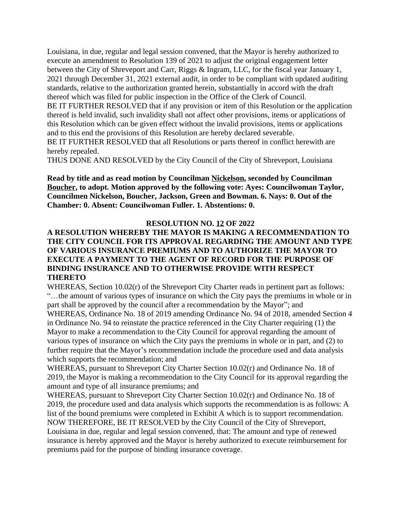Louisiana, in due, regular and legal session convened, that the Mayor is hereby authorized to execute an amendment to Resolution 139 of 2021 to adjust the original engagement letter between the City of Shreveport and Carr, Riggs & Ingram, LLC, for the fiscal year January 1, 2021 through December 31, 2021 external audit, in order to be compliant with updated auditing standards, relative to the authorization granted herein, substantially in accord with the draft thereof which was filed for public inspection in the Office of the Clerk of Council. BE IT FURTHER RESOLVED that if any provision or item of this Resolution or the application thereof is held invalid, such invalidity shall not affect other provisions, items or applications of this Resolution which can be given effect without the invalid provisions, items or applications and to this end the provisions of this Resolution are hereby declared severable. BE IT FURTHER RESOLVED that all Resolutions or parts thereof in conflict herewith are

hereby repealed.

THUS DONE AND RESOLVED by the City Council of the City of Shreveport, Louisiana

**Read by title and as read motion by Councilman Nickelson, seconded by Councilman Boucher, to adopt. Motion approved by the following vote: Ayes: Councilwoman Taylor, Councilmen Nickelson, Boucher, Jackson, Green and Bowman. 6. Nays: 0. Out of the Chamber: 0. Absent: Councilwoman Fuller. 1. Abstentions: 0.**

### **RESOLUTION NO. 12 OF 2022**

### **A RESOLUTION WHEREBY THE MAYOR IS MAKING A RECOMMENDATION TO THE CITY COUNCIL FOR ITS APPROVAL REGARDING THE AMOUNT AND TYPE OF VARIOUS INSURANCE PREMIUMS AND TO AUTHORIZE THE MAYOR TO EXECUTE A PAYMENT TO THE AGENT OF RECORD FOR THE PURPOSE OF BINDING INSURANCE AND TO OTHERWISE PROVIDE WITH RESPECT THERETO**

WHEREAS, Section 10.02(r) of the Shreveport City Charter reads in pertinent part as follows: "…the amount of various types of insurance on which the City pays the premiums in whole or in part shall be approved by the council after a recommendation by the Mayor"; and

WHEREAS, Ordinance No. 18 of 2019 amending Ordinance No. 94 of 2018, amended Section 4 in Ordinance No. 94 to reinstate the practice referenced in the City Charter requiring (1) the Mayor to make a recommendation to the City Council for approval regarding the amount of various types of insurance on which the City pays the premiums in whole or in part, and (2) to further require that the Mayor's recommendation include the procedure used and data analysis which supports the recommendation; and

WHEREAS, pursuant to Shreveport City Charter Section 10.02(r) and Ordinance No. 18 of 2019, the Mayor is making a recommendation to the City Council for its approval regarding the amount and type of all insurance premiums; and

WHEREAS, pursuant to Shreveport City Charter Section 10.02(r) and Ordinance No. 18 of 2019, the procedure used and data analysis which supports the recommendation is as follows: A list of the bound premiums were completed in Exhibit A which is to support recommendation. NOW THEREFORE, BE IT RESOLVED by the City Council of the City of Shreveport, Louisiana in due, regular and legal session convened, that: The amount and type of renewed insurance is hereby approved and the Mayor is hereby authorized to execute reimbursement for premiums paid for the purpose of binding insurance coverage.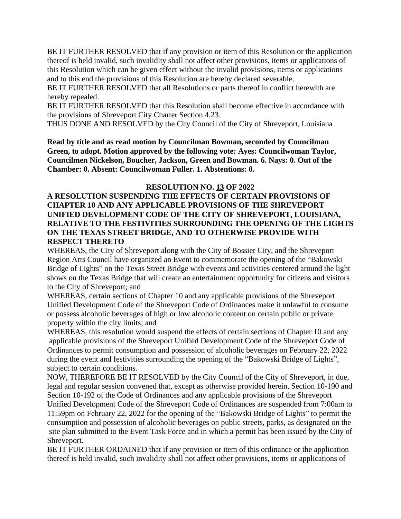BE IT FURTHER RESOLVED that if any provision or item of this Resolution or the application thereof is held invalid, such invalidity shall not affect other provisions, items or applications of this Resolution which can be given effect without the invalid provisions, items or applications and to this end the provisions of this Resolution are hereby declared severable.

BE IT FURTHER RESOLVED that all Resolutions or parts thereof in conflict herewith are hereby repealed.

BE IT FURTHER RESOLVED that this Resolution shall become effective in accordance with the provisions of Shreveport City Charter Section 4.23.

THUS DONE AND RESOLVED by the City Council of the City of Shreveport, Louisiana

**Read by title and as read motion by Councilman Bowman, seconded by Councilman Green, to adopt. Motion approved by the following vote: Ayes: Councilwoman Taylor, Councilmen Nickelson, Boucher, Jackson, Green and Bowman. 6. Nays: 0. Out of the Chamber: 0. Absent: Councilwoman Fuller. 1. Abstentions: 0.**

### **RESOLUTION NO. 13 OF 2022**

## **A RESOLUTION SUSPENDING THE EFFECTS OF CERTAIN PROVISIONS OF CHAPTER 10 AND ANY APPLICABLE PROVISIONS OF THE SHREVEPORT UNIFIED DEVELOPMENT CODE OF THE CITY OF SHREVEPORT, LOUISIANA, RELATIVE TO THE FESTIVITIES SURROUNDING THE OPENING OF THE LIGHTS ON THE TEXAS STREET BRIDGE, AND TO OTHERWISE PROVIDE WITH RESPECT THERETO**

WHEREAS, the City of Shreveport along with the City of Bossier City, and the Shreveport Region Arts Council have organized an Event to commemorate the opening of the "Bakowski Bridge of Lights" on the Texas Street Bridge with events and activities centered around the light shows on the Texas Bridge that will create an entertainment opportunity for citizens and visitors to the City of Shreveport; and

WHEREAS, certain sections of Chapter 10 and any applicable provisions of the Shreveport Unified Development Code of the Shreveport Code of Ordinances make it unlawful to consume or possess alcoholic beverages of high or low alcoholic content on certain public or private property within the city limits; and

WHEREAS, this resolution would suspend the effects of certain sections of Chapter 10 and any applicable provisions of the Shreveport Unified Development Code of the Shreveport Code of Ordinances to permit consumption and possession of alcoholic beverages on February 22, 2022 during the event and festivities surrounding the opening of the "Bakowski Bridge of Lights", subject to certain conditions.

NOW, THEREFORE BE IT RESOLVED by the City Council of the City of Shreveport, in due, legal and regular session convened that, except as otherwise provided herein, Section 10-190 and Section 10-192 of the Code of Ordinances and any applicable provisions of the Shreveport

Unified Development Code of the Shreveport Code of Ordinances are suspended from 7:00am to 11:59pm on February 22, 2022 for the opening of the "Bakowski Bridge of Lights" to permit the consumption and possession of alcoholic beverages on public streets, parks, as designated on the site plan submitted to the Event Task Force and in which a permit has been issued by the City of Shreveport.

BE IT FURTHER ORDAINED that if any provision or item of this ordinance or the application thereof is held invalid, such invalidity shall not affect other provisions, items or applications of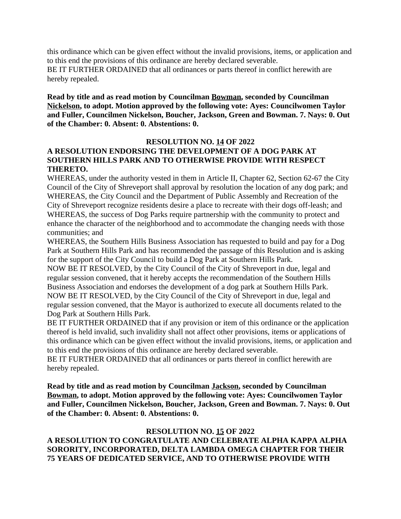this ordinance which can be given effect without the invalid provisions, items, or application and to this end the provisions of this ordinance are hereby declared severable. BE IT FURTHER ORDAINED that all ordinances or parts thereof in conflict herewith are hereby repealed.

**Read by title and as read motion by Councilman Bowman, seconded by Councilman Nickelson, to adopt. Motion approved by the following vote: Ayes: Councilwomen Taylor and Fuller, Councilmen Nickelson, Boucher, Jackson, Green and Bowman. 7. Nays: 0. Out of the Chamber: 0. Absent: 0. Abstentions: 0.**

### **RESOLUTION NO. 14 OF 2022**

# **A RESOLUTION ENDORSING THE DEVELOPMENT OF A DOG PARK AT SOUTHERN HILLS PARK AND TO OTHERWISE PROVIDE WITH RESPECT THERETO.**

WHEREAS, under the authority vested in them in Article II, Chapter 62, Section 62-67 the City Council of the City of Shreveport shall approval by resolution the location of any dog park; and WHEREAS, the City Council and the Department of Public Assembly and Recreation of the City of Shreveport recognize residents desire a place to recreate with their dogs off-leash; and WHEREAS, the success of Dog Parks require partnership with the community to protect and enhance the character of the neighborhood and to accommodate the changing needs with those communities; and

WHEREAS, the Southern Hills Business Association has requested to build and pay for a Dog Park at Southern Hills Park and has recommended the passage of this Resolution and is asking for the support of the City Council to build a Dog Park at Southern Hills Park.

NOW BE IT RESOLVED, by the City Council of the City of Shreveport in due, legal and regular session convened, that it hereby accepts the recommendation of the Southern Hills Business Association and endorses the development of a dog park at Southern Hills Park. NOW BE IT RESOLVED, by the City Council of the City of Shreveport in due, legal and regular session convened, that the Mayor is authorized to execute all documents related to the Dog Park at Southern Hills Park.

BE IT FURTHER ORDAINED that if any provision or item of this ordinance or the application thereof is held invalid, such invalidity shall not affect other provisions, items or applications of this ordinance which can be given effect without the invalid provisions, items, or application and to this end the provisions of this ordinance are hereby declared severable.

BE IT FURTHER ORDAINED that all ordinances or parts thereof in conflict herewith are hereby repealed.

**Read by title and as read motion by Councilman Jackson, seconded by Councilman Bowman, to adopt. Motion approved by the following vote: Ayes: Councilwomen Taylor and Fuller, Councilmen Nickelson, Boucher, Jackson, Green and Bowman. 7. Nays: 0. Out of the Chamber: 0. Absent: 0. Abstentions: 0.**

#### **RESOLUTION NO. 15 OF 2022**

**A RESOLUTION TO CONGRATULATE AND CELEBRATE ALPHA KAPPA ALPHA SORORITY, INCORPORATED, DELTA LAMBDA OMEGA CHAPTER FOR THEIR 75 YEARS OF DEDICATED SERVICE, AND TO OTHERWISE PROVIDE WITH**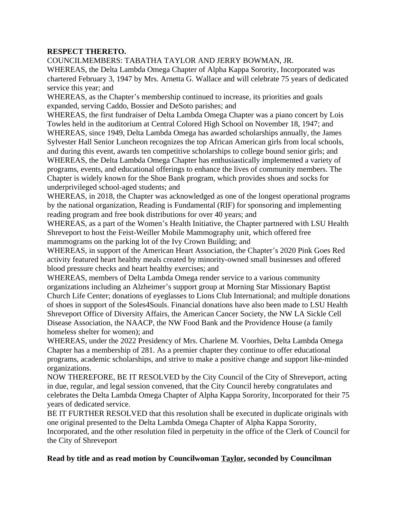### **RESPECT THERETO.**

COUNCILMEMBERS: TABATHA TAYLOR AND JERRY BOWMAN, JR.

WHEREAS, the Delta Lambda Omega Chapter of Alpha Kappa Sorority, Incorporated was chartered February 3, 1947 by Mrs. Arnetta G. Wallace and will celebrate 75 years of dedicated service this year; and

WHEREAS, as the Chapter's membership continued to increase, its priorities and goals expanded, serving Caddo, Bossier and DeSoto parishes; and

WHEREAS, the first fundraiser of Delta Lambda Omega Chapter was a piano concert by Lois Towles held in the auditorium at Central Colored High School on November 18, 1947; and WHEREAS, since 1949, Delta Lambda Omega has awarded scholarships annually, the James Sylvester Hall Senior Luncheon recognizes the top African American girls from local schools, and during this event, awards ten competitive scholarships to college bound senior girls; and WHEREAS, the Delta Lambda Omega Chapter has enthusiastically implemented a variety of programs, events, and educational offerings to enhance the lives of community members. The Chapter is widely known for the Shoe Bank program, which provides shoes and socks for underprivileged school-aged students; and

WHEREAS, in 2018, the Chapter was acknowledged as one of the longest operational programs by the national organization, Reading is Fundamental (RIF) for sponsoring and implementing reading program and free book distributions for over 40 years; and

WHEREAS, as a part of the Women's Health Initiative, the Chapter partnered with LSU Health Shreveport to host the Feist-Weiller Mobile Mammography unit, which offered free mammograms on the parking lot of the Ivy Crown Building; and

WHEREAS, in support of the American Heart Association, the Chapter's 2020 Pink Goes Red activity featured heart healthy meals created by minority-owned small businesses and offered blood pressure checks and heart healthy exercises; and

WHEREAS, members of Delta Lambda Omega render service to a various community organizations including an Alzheimer's support group at Morning Star Missionary Baptist Church Life Center; donations of eyeglasses to Lions Club International; and multiple donations of shoes in support of the Soles4Souls. Financial donations have also been made to LSU Health Shreveport Office of Diversity Affairs, the American Cancer Society, the NW LA Sickle Cell Disease Association, the NAACP, the NW Food Bank and the Providence House (a family homeless shelter for women); and

WHEREAS, under the 2022 Presidency of Mrs. Charlene M. Voorhies, Delta Lambda Omega Chapter has a membership of 281. As a premier chapter they continue to offer educational programs, academic scholarships, and strive to make a positive change and support like-minded organizations.

NOW THEREFORE, BE IT RESOLVED by the City Council of the City of Shreveport, acting in due, regular, and legal session convened, that the City Council hereby congratulates and celebrates the Delta Lambda Omega Chapter of Alpha Kappa Sorority, Incorporated for their 75 years of dedicated service.

BE IT FURTHER RESOLVED that this resolution shall be executed in duplicate originals with one original presented to the Delta Lambda Omega Chapter of Alpha Kappa Sorority, Incorporated, and the other resolution filed in perpetuity in the office of the Clerk of Council for the City of Shreveport

# **Read by title and as read motion by Councilwoman Taylor, seconded by Councilman**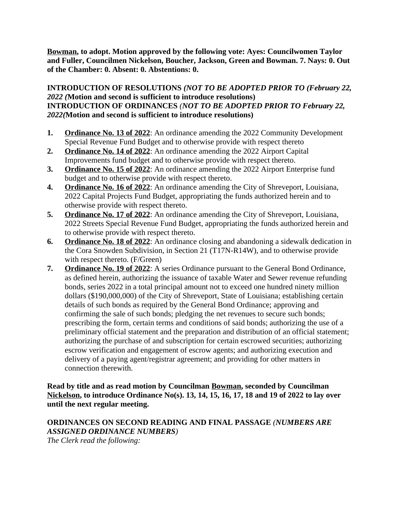**Bowman, to adopt. Motion approved by the following vote: Ayes: Councilwomen Taylor and Fuller, Councilmen Nickelson, Boucher, Jackson, Green and Bowman. 7. Nays: 0. Out of the Chamber: 0. Absent: 0. Abstentions: 0.**

# **INTRODUCTION OF RESOLUTIONS** *(NOT TO BE ADOPTED PRIOR TO (February 22, 2022 (***Motion and second is sufficient to introduce resolutions) INTRODUCTION OF ORDINANCES** *(NOT TO BE ADOPTED PRIOR TO February 22, 2022(***Motion and second is sufficient to introduce resolutions)**

- **1. Ordinance No. 13 of 2022**: An ordinance amending the 2022 Community Development Special Revenue Fund Budget and to otherwise provide with respect thereto
- **2. Ordinance No. 14 of 2022**: An ordinance amending the 2022 Airport Capital Improvements fund budget and to otherwise provide with respect thereto.
- **3. Ordinance No. 15 of 2022**: An ordinance amending the 2022 Airport Enterprise fund budget and to otherwise provide with respect thereto.
- **4. Ordinance No. 16 of 2022**: An ordinance amending the City of Shreveport, Louisiana, 2022 Capital Projects Fund Budget, appropriating the funds authorized herein and to otherwise provide with respect thereto.
- **5. Ordinance No. 17 of 2022**: An ordinance amending the City of Shreveport, Louisiana, 2022 Streets Special Revenue Fund Budget, appropriating the funds authorized herein and to otherwise provide with respect thereto.
- **6. Ordinance No. 18 of 2022**: An ordinance closing and abandoning a sidewalk dedication in the Cora Snowden Subdivision, in Section 21 (T17N-R14W), and to otherwise provide with respect thereto. (F/Green)
- **7. Ordinance No. 19 of 2022**: A series Ordinance pursuant to the General Bond Ordinance, as defined herein, authorizing the issuance of taxable Water and Sewer revenue refunding bonds, series 2022 in a total principal amount not to exceed one hundred ninety million dollars (\$190,000,000) of the City of Shreveport, State of Louisiana; establishing certain details of such bonds as required by the General Bond Ordinance; approving and confirming the sale of such bonds; pledging the net revenues to secure such bonds; prescribing the form, certain terms and conditions of said bonds; authorizing the use of a preliminary official statement and the preparation and distribution of an official statement; authorizing the purchase of and subscription for certain escrowed securities; authorizing escrow verification and engagement of escrow agents; and authorizing execution and delivery of a paying agent/registrar agreement; and providing for other matters in connection therewith.

# **Read by title and as read motion by Councilman Bowman, seconded by Councilman Nickelson, to introduce Ordinance No(s). 13, 14, 15, 16, 17, 18 and 19 of 2022 to lay over until the next regular meeting.**

**ORDINANCES ON SECOND READING AND FINAL PASSAGE** *(NUMBERS ARE ASSIGNED ORDINANCE NUMBERS) The Clerk read the following:*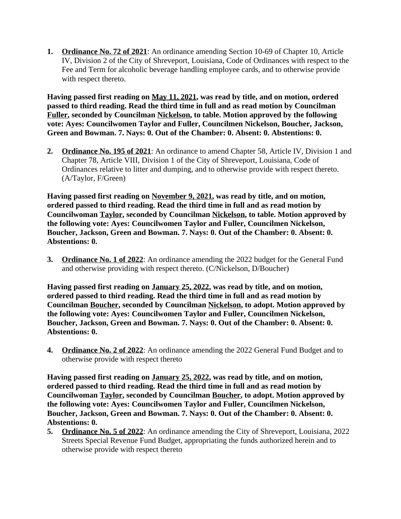**1. Ordinance No. 72 of 2021**: An ordinance amending Section 10-69 of Chapter 10, Article IV, Division 2 of the City of Shreveport, Louisiana, Code of Ordinances with respect to the Fee and Term for alcoholic beverage handling employee cards, and to otherwise provide with respect thereto.

**Having passed first reading on May 11, 2021, was read by title, and on motion, ordered passed to third reading. Read the third time in full and as read motion by Councilman Fuller, seconded by Councilman Nickelson, to table. Motion approved by the following vote: Ayes: Councilwomen Taylor and Fuller, Councilmen Nickelson, Boucher, Jackson, Green and Bowman. 7. Nays: 0. Out of the Chamber: 0. Absent: 0. Abstentions: 0.**

**2. Ordinance No. 195 of 2021**: An ordinance to amend Chapter 58, Article IV, Division 1 and Chapter 78, Article VIII, Division 1 of the City of Shreveport, Louisiana, Code of Ordinances relative to litter and dumping, and to otherwise provide with respect thereto. (A/Taylor, F/Green)

**Having passed first reading on November 9, 2021, was read by title, and on motion, ordered passed to third reading. Read the third time in full and as read motion by Councilwoman Taylor, seconded by Councilman Nickelson, to table. Motion approved by the following vote: Ayes: Councilwomen Taylor and Fuller, Councilmen Nickelson, Boucher, Jackson, Green and Bowman. 7. Nays: 0. Out of the Chamber: 0. Absent: 0. Abstentions: 0.**

**3. Ordinance No. 1 of 2022**: An ordinance amending the 2022 budget for the General Fund and otherwise providing with respect thereto. (C/Nickelson, D/Boucher)

**Having passed first reading on January 25, 2022, was read by title, and on motion, ordered passed to third reading. Read the third time in full and as read motion by Councilman Boucher, seconded by Councilman Nickelson, to adopt. Motion approved by the following vote: Ayes: Councilwomen Taylor and Fuller, Councilmen Nickelson, Boucher, Jackson, Green and Bowman. 7. Nays: 0. Out of the Chamber: 0. Absent: 0. Abstentions: 0.**

**4. Ordinance No. 2 of 2022**: An ordinance amending the 2022 General Fund Budget and to otherwise provide with respect thereto

**Having passed first reading on January 25, 2022, was read by title, and on motion, ordered passed to third reading. Read the third time in full and as read motion by Councilwoman Taylor, seconded by Councilman Boucher, to adopt. Motion approved by the following vote: Ayes: Councilwomen Taylor and Fuller, Councilmen Nickelson, Boucher, Jackson, Green and Bowman. 7. Nays: 0. Out of the Chamber: 0. Absent: 0. Abstentions: 0.**

**5. Ordinance No. 5 of 2022**: An ordinance amending the City of Shreveport, Louisiana, 2022 Streets Special Revenue Fund Budget, appropriating the funds authorized herein and to otherwise provide with respect thereto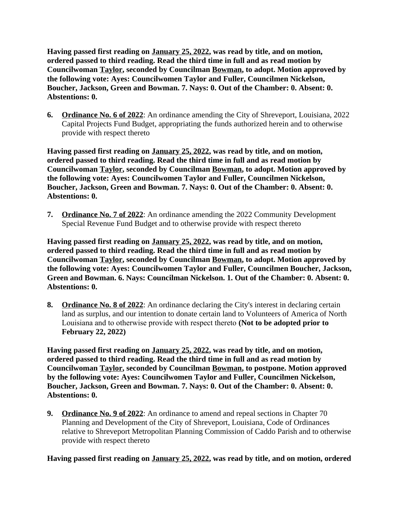**Having passed first reading on January 25, 2022, was read by title, and on motion, ordered passed to third reading. Read the third time in full and as read motion by Councilwoman Taylor, seconded by Councilman Bowman, to adopt. Motion approved by the following vote: Ayes: Councilwomen Taylor and Fuller, Councilmen Nickelson, Boucher, Jackson, Green and Bowman. 7. Nays: 0. Out of the Chamber: 0. Absent: 0. Abstentions: 0.**

**6. Ordinance No. 6 of 2022**: An ordinance amending the City of Shreveport, Louisiana, 2022 Capital Projects Fund Budget, appropriating the funds authorized herein and to otherwise provide with respect thereto

**Having passed first reading on January 25, 2022, was read by title, and on motion, ordered passed to third reading. Read the third time in full and as read motion by Councilwoman Taylor, seconded by Councilman Bowman, to adopt. Motion approved by the following vote: Ayes: Councilwomen Taylor and Fuller, Councilmen Nickelson, Boucher, Jackson, Green and Bowman. 7. Nays: 0. Out of the Chamber: 0. Absent: 0. Abstentions: 0.**

**7. Ordinance No. 7 of 2022**: An ordinance amending the 2022 Community Development Special Revenue Fund Budget and to otherwise provide with respect thereto

**Having passed first reading on January 25, 2022, was read by title, and on motion, ordered passed to third reading. Read the third time in full and as read motion by Councilwoman Taylor, seconded by Councilman Bowman, to adopt. Motion approved by the following vote: Ayes: Councilwomen Taylor and Fuller, Councilmen Boucher, Jackson, Green and Bowman. 6. Nays: Councilman Nickelson. 1. Out of the Chamber: 0. Absent: 0. Abstentions: 0.**

**8. Ordinance No. 8 of 2022**: An ordinance declaring the City's interest in declaring certain land as surplus, and our intention to donate certain land to Volunteers of America of North Louisiana and to otherwise provide with respect thereto **(Not to be adopted prior to February 22, 2022)**

**Having passed first reading on January 25, 2022, was read by title, and on motion, ordered passed to third reading. Read the third time in full and as read motion by Councilwoman Taylor, seconded by Councilman Bowman, to postpone. Motion approved by the following vote: Ayes: Councilwomen Taylor and Fuller, Councilmen Nickelson, Boucher, Jackson, Green and Bowman. 7. Nays: 0. Out of the Chamber: 0. Absent: 0. Abstentions: 0.**

**9. Ordinance No. 9 of 2022**: An ordinance to amend and repeal sections in Chapter 70 Planning and Development of the City of Shreveport, Louisiana, Code of Ordinances relative to Shreveport Metropolitan Planning Commission of Caddo Parish and to otherwise provide with respect thereto

**Having passed first reading on January 25, 2022, was read by title, and on motion, ordered**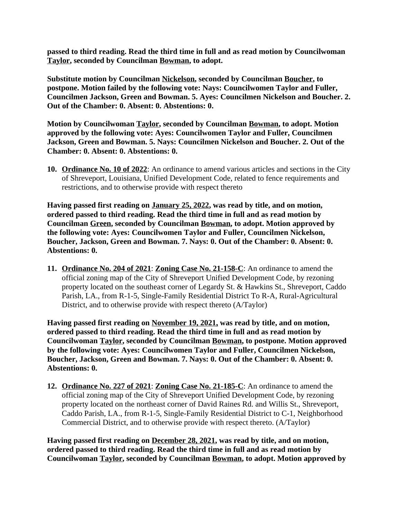**passed to third reading. Read the third time in full and as read motion by Councilwoman Taylor, seconded by Councilman Bowman, to adopt.**

**Substitute motion by Councilman Nickelson, seconded by Councilman Boucher, to postpone. Motion failed by the following vote: Nays: Councilwomen Taylor and Fuller, Councilmen Jackson, Green and Bowman. 5. Ayes: Councilmen Nickelson and Boucher. 2. Out of the Chamber: 0. Absent: 0. Abstentions: 0.**

**Motion by Councilwoman Taylor, seconded by Councilman Bowman, to adopt. Motion approved by the following vote: Ayes: Councilwomen Taylor and Fuller, Councilmen Jackson, Green and Bowman. 5. Nays: Councilmen Nickelson and Boucher. 2. Out of the Chamber: 0. Absent: 0. Abstentions: 0.**

**10. Ordinance No. 10 of 2022**: An ordinance to amend various articles and sections in the City of Shreveport, Louisiana, Unified Development Code, related to fence requirements and restrictions, and to otherwise provide with respect thereto

**Having passed first reading on January 25, 2022, was read by title, and on motion, ordered passed to third reading. Read the third time in full and as read motion by Councilman Green, seconded by Councilman Bowman, to adopt. Motion approved by the following vote: Ayes: Councilwomen Taylor and Fuller, Councilmen Nickelson, Boucher, Jackson, Green and Bowman. 7. Nays: 0. Out of the Chamber: 0. Absent: 0. Abstentions: 0.**

**11. Ordinance No. 204 of 2021**: **Zoning Case No. 21-158-C**: An ordinance to amend the official zoning map of the City of Shreveport Unified Development Code, by rezoning property located on the southeast corner of Legardy St. & Hawkins St., Shreveport, Caddo Parish, LA., from R-1-5, Single-Family Residential District To R-A, Rural-Agricultural District, and to otherwise provide with respect thereto (A/Taylor)

**Having passed first reading on November 19, 2021, was read by title, and on motion, ordered passed to third reading. Read the third time in full and as read motion by Councilwoman Taylor, seconded by Councilman Bowman, to postpone. Motion approved by the following vote: Ayes: Councilwomen Taylor and Fuller, Councilmen Nickelson, Boucher, Jackson, Green and Bowman. 7. Nays: 0. Out of the Chamber: 0. Absent: 0. Abstentions: 0.**

**12. Ordinance No. 227 of 2021**: **Zoning Case No. 21-185-C**: An ordinance to amend the official zoning map of the City of Shreveport Unified Development Code, by rezoning property located on the northeast corner of David Raines Rd. and Willis St., Shreveport, Caddo Parish, LA., from R-1-5, Single-Family Residential District to C-1, Neighborhood Commercial District, and to otherwise provide with respect thereto. (A/Taylor)

**Having passed first reading on December 28, 2021, was read by title, and on motion, ordered passed to third reading. Read the third time in full and as read motion by Councilwoman Taylor, seconded by Councilman Bowman, to adopt. Motion approved by**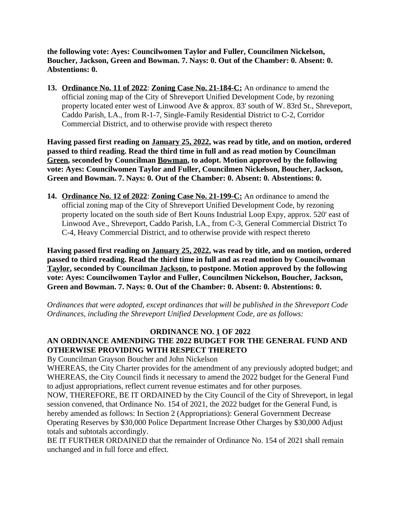**the following vote: Ayes: Councilwomen Taylor and Fuller, Councilmen Nickelson, Boucher, Jackson, Green and Bowman. 7. Nays: 0. Out of the Chamber: 0. Absent: 0. Abstentions: 0.**

**13. Ordinance No. 11 of 2022**: **Zoning Case No. 21-184-C:** An ordinance to amend the official zoning map of the City of Shreveport Unified Development Code, by rezoning property located enter west of Linwood Ave & approx. 83' south of W. 83rd St., Shreveport, Caddo Parish, LA., from R-1-7, Single-Family Residential District to C-2, Corridor Commercial District, and to otherwise provide with respect thereto

**Having passed first reading on January 25, 2022, was read by title, and on motion, ordered passed to third reading. Read the third time in full and as read motion by Councilman Green, seconded by Councilman Bowman, to adopt. Motion approved by the following vote: Ayes: Councilwomen Taylor and Fuller, Councilmen Nickelson, Boucher, Jackson, Green and Bowman. 7. Nays: 0. Out of the Chamber: 0. Absent: 0. Abstentions: 0.**

**14. Ordinance No. 12 of 2022**: **Zoning Case No. 21-199-C:** An ordinance to amend the official zoning map of the City of Shreveport Unified Development Code, by rezoning property located on the south side of Bert Kouns Industrial Loop Expy, approx. 520' east of Linwood Ave., Shreveport, Caddo Parish, LA., from C-3, General Commercial District To C-4, Heavy Commercial District, and to otherwise provide with respect thereto

**Having passed first reading on January 25, 2022, was read by title, and on motion, ordered passed to third reading. Read the third time in full and as read motion by Councilwoman Taylor, seconded by Councilman Jackson, to postpone. Motion approved by the following vote: Ayes: Councilwomen Taylor and Fuller, Councilmen Nickelson, Boucher, Jackson, Green and Bowman. 7. Nays: 0. Out of the Chamber: 0. Absent: 0. Abstentions: 0.**

*Ordinances that were adopted, except ordinances that will be published in the Shreveport Code Ordinances, including the Shreveport Unified Development Code, are as follows:*

# **ORDINANCE NO. 1 OF 2022**

# **AN ORDINANCE AMENDING THE 2022 BUDGET FOR THE GENERAL FUND AND OTHERWISE PROVIDING WITH RESPECT THERETO**

By Councilman Grayson Boucher and John Nickelson

WHEREAS, the City Charter provides for the amendment of any previously adopted budget; and WHEREAS, the City Council finds it necessary to amend the 2022 budget for the General Fund to adjust appropriations, reflect current revenue estimates and for other purposes.

NOW, THEREFORE, BE IT ORDAINED by the City Council of the City of Shreveport, in legal session convened, that Ordinance No. 154 of 2021, the 2022 budget for the General Fund, is hereby amended as follows: In Section 2 (Appropriations): General Government Decrease Operating Reserves by \$30,000 Police Department Increase Other Charges by \$30,000 Adjust totals and subtotals accordingly.

BE IT FURTHER ORDAINED that the remainder of Ordinance No. 154 of 2021 shall remain unchanged and in full force and effect.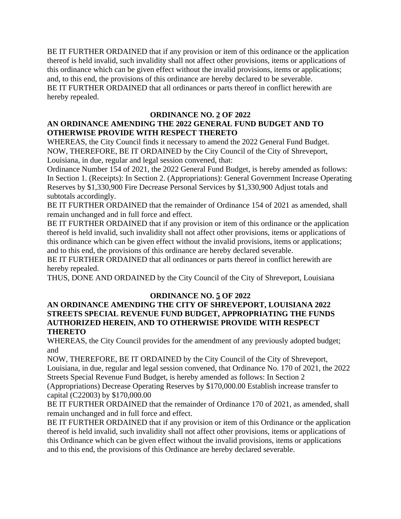BE IT FURTHER ORDAINED that if any provision or item of this ordinance or the application thereof is held invalid, such invalidity shall not affect other provisions, items or applications of this ordinance which can be given effect without the invalid provisions, items or applications; and, to this end, the provisions of this ordinance are hereby declared to be severable. BE IT FURTHER ORDAINED that all ordinances or parts thereof in conflict herewith are hereby repealed.

# **ORDINANCE NO. 2 OF 2022**

# **AN ORDINANCE AMENDING THE 2022 GENERAL FUND BUDGET AND TO OTHERWISE PROVIDE WITH RESPECT THERETO**

WHEREAS, the City Council finds it necessary to amend the 2022 General Fund Budget. NOW, THEREFORE, BE IT ORDAINED by the City Council of the City of Shreveport, Louisiana, in due, regular and legal session convened, that:

Ordinance Number 154 of 2021, the 2022 General Fund Budget, is hereby amended as follows: In Section 1. (Receipts): In Section 2. (Appropriations): General Government Increase Operating Reserves by \$1,330,900 Fire Decrease Personal Services by \$1,330,900 Adjust totals and subtotals accordingly.

BE IT FURTHER ORDAINED that the remainder of Ordinance 154 of 2021 as amended, shall remain unchanged and in full force and effect.

BE IT FURTHER ORDAINED that if any provision or item of this ordinance or the application thereof is held invalid, such invalidity shall not affect other provisions, items or applications of this ordinance which can be given effect without the invalid provisions, items or applications; and to this end, the provisions of this ordinance are hereby declared severable.

BE IT FURTHER ORDAINED that all ordinances or parts thereof in conflict herewith are hereby repealed.

THUS, DONE AND ORDAINED by the City Council of the City of Shreveport, Louisiana

# **ORDINANCE NO. 5 OF 2022**

### **AN ORDINANCE AMENDING THE CITY OF SHREVEPORT, LOUISIANA 2022 STREETS SPECIAL REVENUE FUND BUDGET, APPROPRIATING THE FUNDS AUTHORIZED HEREIN, AND TO OTHERWISE PROVIDE WITH RESPECT THERETO**

WHEREAS, the City Council provides for the amendment of any previously adopted budget; and

NOW, THEREFORE, BE IT ORDAINED by the City Council of the City of Shreveport, Louisiana, in due, regular and legal session convened, that Ordinance No. 170 of 2021, the 2022 Streets Special Revenue Fund Budget, is hereby amended as follows: In Section 2

(Appropriations) Decrease Operating Reserves by \$170,000.00 Establish increase transfer to capital (C22003) by \$170,000.00

BE IT FURTHER ORDAINED that the remainder of Ordinance 170 of 2021, as amended, shall remain unchanged and in full force and effect.

BE IT FURTHER ORDAINED that if any provision or item of this Ordinance or the application thereof is held invalid, such invalidity shall not affect other provisions, items or applications of this Ordinance which can be given effect without the invalid provisions, items or applications and to this end, the provisions of this Ordinance are hereby declared severable.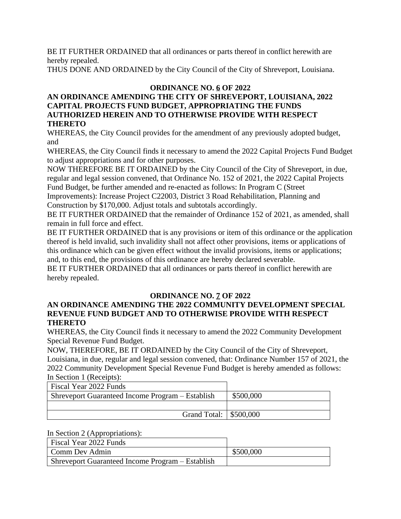BE IT FURTHER ORDAINED that all ordinances or parts thereof in conflict herewith are hereby repealed.

THUS DONE AND ORDAINED by the City Council of the City of Shreveport, Louisiana.

# **ORDINANCE NO. 6 OF 2022**

# **AN ORDINANCE AMENDING THE CITY OF SHREVEPORT, LOUISIANA, 2022 CAPITAL PROJECTS FUND BUDGET, APPROPRIATING THE FUNDS AUTHORIZED HEREIN AND TO OTHERWISE PROVIDE WITH RESPECT THERETO**

WHEREAS, the City Council provides for the amendment of any previously adopted budget, and

WHEREAS, the City Council finds it necessary to amend the 2022 Capital Projects Fund Budget to adjust appropriations and for other purposes.

NOW THEREFORE BE IT ORDAINED by the City Council of the City of Shreveport, in due, regular and legal session convened, that Ordinance No. 152 of 2021, the 2022 Capital Projects Fund Budget, be further amended and re-enacted as follows: In Program C (Street

Improvements): Increase Project C22003, District 3 Road Rehabilitation, Planning and Construction by \$170,000. Adjust totals and subtotals accordingly.

BE IT FURTHER ORDAINED that the remainder of Ordinance 152 of 2021, as amended, shall remain in full force and effect.

BE IT FURTHER ORDAINED that is any provisions or item of this ordinance or the application thereof is held invalid, such invalidity shall not affect other provisions, items or applications of this ordinance which can be given effect without the invalid provisions, items or applications; and, to this end, the provisions of this ordinance are hereby declared severable.

BE IT FURTHER ORDAINED that all ordinances or parts thereof in conflict herewith are hereby repealed.

# **ORDINANCE NO. 7 OF 2022**

# **AN ORDINANCE AMENDING THE 2022 COMMUNITY DEVELOPMENT SPECIAL REVENUE FUND BUDGET AND TO OTHERWISE PROVIDE WITH RESPECT THERETO**

WHEREAS, the City Council finds it necessary to amend the 2022 Community Development Special Revenue Fund Budget.

NOW, THEREFORE, BE IT ORDAINED by the City Council of the City of Shreveport, Louisiana, in due, regular and legal session convened, that: Ordinance Number 157 of 2021, the 2022 Community Development Special Revenue Fund Budget is hereby amended as follows: In Section 1 (Receipts):

Fiscal Year 2022 Funds Shreveport Guaranteed Income Program – Establish | \$500,000 Grand Total: \, \$500,000

In Section 2 (Appropriations):

| Fiscal Year 2022 Funds                                  |           |
|---------------------------------------------------------|-----------|
| Comm Dev Admin                                          | \$500,000 |
| <b>Shreveport Guaranteed Income Program – Establish</b> |           |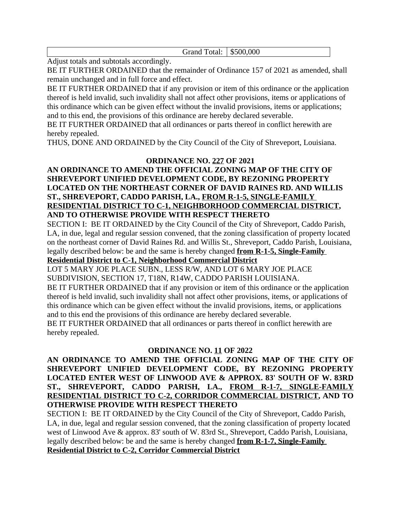Grand Total: | \$500,000

Adjust totals and subtotals accordingly.

BE IT FURTHER ORDAINED that the remainder of Ordinance 157 of 2021 as amended, shall remain unchanged and in full force and effect.

BE IT FURTHER ORDAINED that if any provision or item of this ordinance or the application thereof is held invalid, such invalidity shall not affect other provisions, items or applications of this ordinance which can be given effect without the invalid provisions, items or applications; and to this end, the provisions of this ordinance are hereby declared severable.

BE IT FURTHER ORDAINED that all ordinances or parts thereof in conflict herewith are hereby repealed.

THUS, DONE AND ORDAINED by the City Council of the City of Shreveport, Louisiana.

# **ORDINANCE NO. 227 OF 2021**

# **AN ORDINANCE TO AMEND THE OFFICIAL ZONING MAP OF THE CITY OF SHREVEPORT UNIFIED DEVELOPMENT CODE, BY REZONING PROPERTY LOCATED ON THE NORTHEAST CORNER OF DAVID RAINES RD. AND WILLIS ST., SHREVEPORT, CADDO PARISH, LA., FROM R-1-5, SINGLE-FAMILY RESIDENTIAL DISTRICT TO C-1, NEIGHBORHOOD COMMERCIAL DISTRICT, AND TO OTHERWISE PROVIDE WITH RESPECT THERETO**

SECTION I: BE IT ORDAINED by the City Council of the City of Shreveport, Caddo Parish, LA, in due, legal and regular session convened, that the zoning classification of property located on the northeast corner of David Raines Rd. and Willis St., Shreveport, Caddo Parish, Louisiana, legally described below: be and the same is hereby changed **from R-1-5, Single-Family** 

# **Residential District to C-1, Neighborhood Commercial District**

LOT 5 MARY JOE PLACE SUBN., LESS R/W, AND LOT 6 MARY JOE PLACE SUBDIVISION, SECTION 17, T18N, R14W, CADDO PARISH LOUISIANA.

BE IT FURTHER ORDAINED that if any provision or item of this ordinance or the application thereof is held invalid, such invalidity shall not affect other provisions, items, or applications of this ordinance which can be given effect without the invalid provisions, items, or applications and to this end the provisions of this ordinance are hereby declared severable.

BE IT FURTHER ORDAINED that all ordinances or parts thereof in conflict herewith are hereby repealed.

# **ORDINANCE NO. 11 OF 2022**

**AN ORDINANCE TO AMEND THE OFFICIAL ZONING MAP OF THE CITY OF SHREVEPORT UNIFIED DEVELOPMENT CODE, BY REZONING PROPERTY LOCATED ENTER WEST OF LINWOOD AVE & APPROX. 83' SOUTH OF W. 83RD ST., SHREVEPORT, CADDO PARISH, LA., FROM R-1-7, SINGLE-FAMILY RESIDENTIAL DISTRICT TO C-2, CORRIDOR COMMERCIAL DISTRICT, AND TO OTHERWISE PROVIDE WITH RESPECT THERETO**

SECTION I: BE IT ORDAINED by the City Council of the City of Shreveport, Caddo Parish, LA, in due, legal and regular session convened, that the zoning classification of property located west of Linwood Ave & approx. 83' south of W. 83rd St., Shreveport, Caddo Parish, Louisiana, legally described below: be and the same is hereby changed **from R-1-7, Single-Family Residential District to C-2, Corridor Commercial District**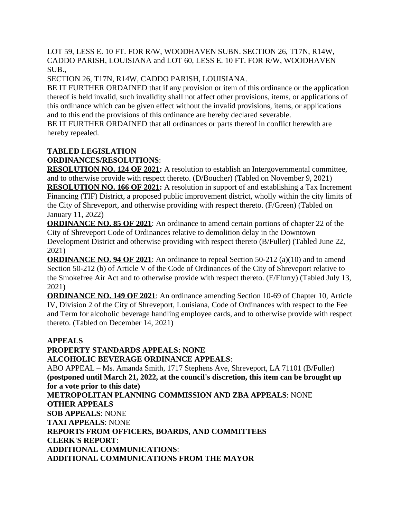LOT 59, LESS E. 10 FT. FOR R/W, WOODHAVEN SUBN. SECTION 26, T17N, R14W, CADDO PARISH, LOUISIANA and LOT 60, LESS E. 10 FT. FOR R/W, WOODHAVEN SUB.,

SECTION 26, T17N, R14W, CADDO PARISH, LOUISIANA.

BE IT FURTHER ORDAINED that if any provision or item of this ordinance or the application thereof is held invalid, such invalidity shall not affect other provisions, items, or applications of this ordinance which can be given effect without the invalid provisions, items, or applications and to this end the provisions of this ordinance are hereby declared severable.

BE IT FURTHER ORDAINED that all ordinances or parts thereof in conflict herewith are hereby repealed.

# **TABLED LEGISLATION ORDINANCES/RESOLUTIONS**:

**RESOLUTION NO. 124 OF 2021:** A resolution to establish an Intergovernmental committee, and to otherwise provide with respect thereto. (D/Boucher) (Tabled on November 9, 2021) **RESOLUTION NO. 166 OF 2021:** A resolution in support of and establishing a Tax Increment Financing (TIF) District, a proposed public improvement district, wholly within the city limits of the City of Shreveport, and otherwise providing with respect thereto. (F/Green) (Tabled on January 11, 2022)

**ORDINANCE NO. 85 OF 2021**: An ordinance to amend certain portions of chapter 22 of the City of Shreveport Code of Ordinances relative to demolition delay in the Downtown Development District and otherwise providing with respect thereto (B/Fuller) (Tabled June 22, 2021)

**ORDINANCE NO. 94 OF 2021**: An ordinance to repeal Section 50-212 (a)(10) and to amend Section 50-212 (b) of Article V of the Code of Ordinances of the City of Shreveport relative to the Smokefree Air Act and to otherwise provide with respect thereto. (E/Flurry) (Tabled July 13, 2021)

**ORDINANCE NO. 149 OF 2021**: An ordinance amending Section 10-69 of Chapter 10, Article IV, Division 2 of the City of Shreveport, Louisiana, Code of Ordinances with respect to the Fee and Term for alcoholic beverage handling employee cards, and to otherwise provide with respect thereto. (Tabled on December 14, 2021)

# **APPEALS**

**PROPERTY STANDARDS APPEALS: NONE ALCOHOLIC BEVERAGE ORDINANCE APPEALS**: ABO APPEAL – Ms. Amanda Smith, 1717 Stephens Ave, Shreveport, LA 71101 (B/Fuller) **(postponed until March 21, 2022, at the council's discretion, this item can be brought up for a vote prior to this date) METROPOLITAN PLANNING COMMISSION AND ZBA APPEALS**: NONE **OTHER APPEALS SOB APPEALS**: NONE **TAXI APPEALS**: NONE **REPORTS FROM OFFICERS, BOARDS, AND COMMITTEES CLERK'S REPORT**: **ADDITIONAL COMMUNICATIONS**: **ADDITIONAL COMMUNICATIONS FROM THE MAYOR**